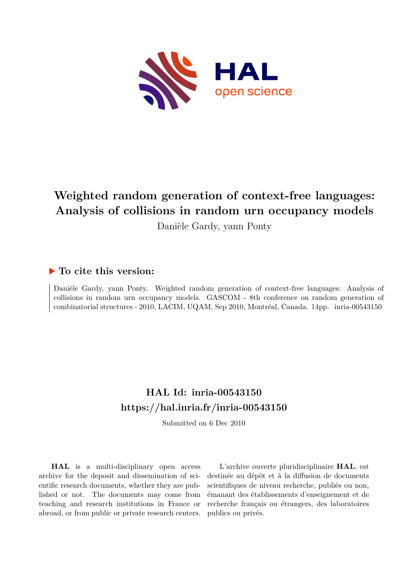

# **Weighted random generation of context-free languages: Analysis of collisions in random urn occupancy models**

Danièle Gardy, yann Ponty

# **To cite this version:**

Danièle Gardy, yann Ponty. Weighted random generation of context-free languages: Analysis of collisions in random urn occupancy models. GASCOM - 8th conference on random generation of combinatorial structures - 2010, LACIM, UQAM, Sep 2010, Montréal, Canada. 14pp. inria-00543150

# **HAL Id: inria-00543150 <https://hal.inria.fr/inria-00543150>**

Submitted on 6 Dec 2010

**HAL** is a multi-disciplinary open access archive for the deposit and dissemination of scientific research documents, whether they are published or not. The documents may come from teaching and research institutions in France or abroad, or from public or private research centers.

L'archive ouverte pluridisciplinaire **HAL**, est destinée au dépôt et à la diffusion de documents scientifiques de niveau recherche, publiés ou non, émanant des établissements d'enseignement et de recherche français ou étrangers, des laboratoires publics ou privés.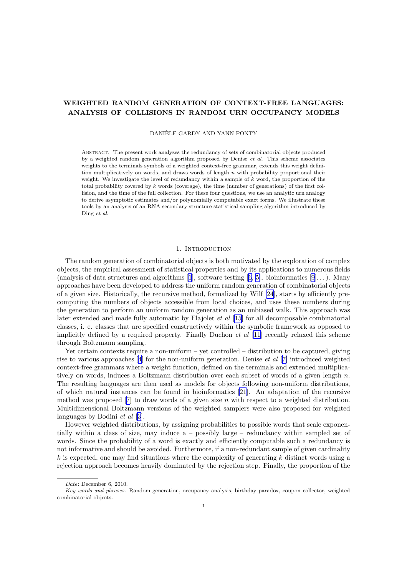## WEIGHTED RANDOM GENERATION OF CONTEXT-FREE LANGUAGES: ANALYSIS OF COLLISIONS IN RANDOM URN OCCUPANCY MODELS

DANIÈLE GARDY AND YANN PONTY

Abstract. The present work analyzes the redundancy of sets of combinatorial objects produced by a weighted random generation algorithm proposed by Denise *et al*. This scheme associates weights to the terminals symbols of a weighted context-free grammar, extends this weight definition multiplicatively on words, and draws words of length  $n$  with probability proportional their weight. We investigate the level of redundancy within a sample of k word, the proportion of the total probability covered by  $k$  words (coverage), the time (number of generations) of the first collision, and the time of the full collection. For these four questions, we use an analytic urn analogy to derive asymptotic estimates and/or polynomially computable exact forms. We illustrate these tools by an analysis of an RNA secondary structure statistical sampling algorithm introduced by Ding *et al*.

#### 1. Introduction

The random generation of combinatorial objects is both motivated by the exploration of complex objects, the empirical assessment of statistical properties and by its applications to numerous fields (analysis of data structures and algorithms [\[1](#page-10-0)], software testing  $[6, 5]$  $[6, 5]$ , bioinformatics  $[9]...$ ). Many approaches have been developed to address the uniform random generation of combinatorial objects of a given size. Historically, the recursive method, formalized by Wilf [\[24](#page-11-0)], starts by efficiently precomputing the numbers of objects accessible from local choices, and uses these numbers during the generation to perform an uniform random generation as an unbiased walk. This approach was later extended and made fully automatic by Flajolet et al [\[15](#page-11-0)] for all decomposable combinatorial classes, i. e. classes that are specified constructively within the symbolic framework as opposed to implicitly defined by a required property. Finally Duchon  $et$  al  $[11]$  $[11]$  recently relaxed this scheme through Boltzmann sampling.

Yet certain contexts require a non-uniform – yet controlled – distribution to be captured, giving riseto various approaches  $[4]$  $[4]$  for the non-uniform generation. Denise *et al*  $[7]$  $[7]$  introduced weighted context-free grammars where a weight function, defined on the terminals and extended multiplicatively on words, induces a Boltzmann distribution over each subset of words of a given length n. The resulting languages are then used as models for objects following non-uniform distributions, of which natural instances can be found in bioinformatics [\[21](#page-11-0)]. An adaptation of the recursive methodwas proposed  $[7]$  $[7]$  to draw words of a given size n with respect to a weighted distribution. Multidimensional Boltzmann versions of the weighted samplers were also proposed for weighted languages by Bodini *et al* [\[3](#page-11-0)].

However weighted distributions, by assigning probabilities to possible words that scale exponentially within a class of size, may induce a – possibly large – redundancy within sampled set of words. Since the probability of a word is exactly and efficiently computable such a redundancy is not informative and should be avoided. Furthermore, if a non-redundant sample of given cardinality  $k$  is expected, one may find situations where the complexity of generating k distinct words using a rejection approach becomes heavily dominated by the rejection step. Finally, the proportion of the

*Date*: December 6, 2010.

*Key words and phrases.* Random generation, occupancy analysis, birthday paradox, coupon collector, weighted combinatorial objects.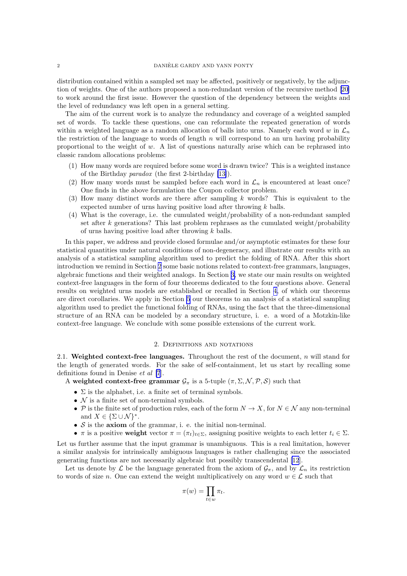distribution contained within a sampled set may be affected, positively or negatively, by the adjunction of weights. One of the authors proposed a non-redundant version of the recursive method [\[20](#page-11-0)] to work around the first issue. However the question of the dependency between the weights and the level of redundancy was left open in a general setting.

The aim of the current work is to analyze the redundancy and coverage of a weighted sampled set of words. To tackle these questions, one can reformulate the repeated generation of words within a weighted language as a random allocation of balls into urns. Namely each word w in  $\mathcal{L}_n$ the restriction of the language to words of length  $n$  will correspond to an urn having probability proportional to the weight of  $w$ . A list of questions naturally arise which can be rephrased into classic random allocations problems:

- (1) How many words are required before some word is drawn twice? This is a weighted instance of the Birthday paradox (the first 2-birthday [\[13\]](#page-11-0)).
- (2) How many words must be sampled before each word in  $\mathcal{L}_n$  is encountered at least once? One finds in the above formulation the Coupon collector problem.
- (3) How many distinct words are there after sampling k words? This is equivalent to the expected number of urns having positive load after throwing  $k$  balls.
- (4) What is the coverage, i.e. the cumulated weight/probability of a non-redundant sampled set after  $k$  generations? This last problem rephrases as the cumulated weight/probability of urns having positive load after throwing k balls.

In this paper, we address and provide closed formulae and/or asymptotic estimates for these four statistical quantities under natural conditions of non-degeneracy, and illustrate our results with an analysis of a statistical sampling algorithm used to predict the folding of RNA. After this short introduction we remind in Section 2 some basic notions related to context-free grammars, languages, algebraic functions and their weighted analogs. In Section [3,](#page-3-0) we state our main results on weighted context-free languages in the form of four theorems dedicated to the four questions above. General results on weighted urns models are established or recalled in Section [4,](#page-5-0) of which our theorems are direct corollaries. We apply in Section [5](#page-7-0) our theorems to an analysis of a statistical sampling algorithm used to predict the functional folding of RNAs, using the fact that the three-dimensional structure of an RNA can be modeled by a secondary structure, i. e. a word of a Motzkin-like context-free language. We conclude with some possible extensions of the current work.

#### 2. Definitions and notations

2.1. Weighted context-free languages. Throughout the rest of the document,  $n$  will stand for the length of generated words. For the sake of self-containment, let us start by recalling some definitions found in Denise et al [\[7](#page-11-0)].

A weighted context-free grammar  $\mathcal{G}_{\pi}$  is a 5-tuple  $(\pi, \Sigma, \mathcal{N}, \mathcal{P}, \mathcal{S})$  such that

- $\Sigma$  is the alphabet, i.e. a finite set of terminal symbols.
- $N$  is a finite set of non-terminal symbols.
- P is the finite set of production rules, each of the form  $N \to X$ , for  $N \in \mathcal{N}$  any non-terminal and  $X \in {\Sigma \cup \mathcal{N}}^*$ .
- $S$  is the axiom of the grammar, i. e. the initial non-terminal.
- π is a positive weight vector  $\pi = (\pi_t)_{t \in \Sigma}$ , assigning positive weights to each letter  $t_i \in \Sigma$ .

Let us further assume that the input grammar is unambiguous. This is a real limitation, however a similar analysis for intrinsically ambiguous languages is rather challenging since the associated generating functions are not necessarily algebraic but possibly transcendental [\[12](#page-11-0)].

Let us denote by  $\mathcal L$  be the language generated from the axiom of  $\mathcal G_\pi$ , and by  $\mathcal L_n$  its restriction to words of size n. One can extend the weight multiplicatively on any word  $w \in \mathcal{L}$  such that

$$
\pi(w) = \prod_{t \in w} \pi_t.
$$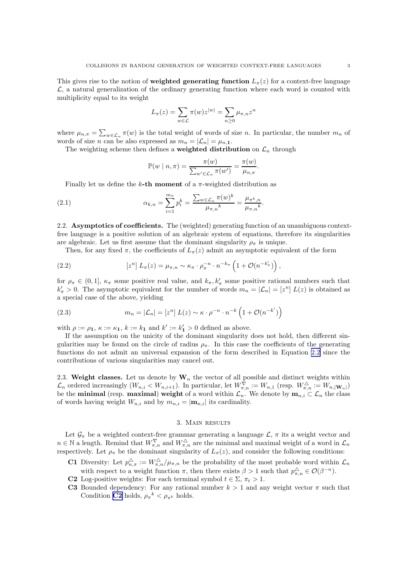<span id="page-3-0"></span>This gives rise to the notion of weighted generating function  $L_{\pi}(z)$  for a context-free language  $\mathcal{L}$ , a natural generalization of the ordinary generating function where each word is counted with multiplicity equal to its weight

$$
L_{\pi}(z) = \sum_{w \in \mathcal{L}} \pi(w) z^{|w|} = \sum_{n \ge 0} \mu_{\pi, n} z^n
$$

where  $\mu_{n,\pi} = \sum_{w \in \mathcal{L}_n} \pi(w)$  is the total weight of words of size n. In particular, the number  $m_n$  of words of size *n* can be also expressed as  $m_n = |\mathcal{L}_n| = \mu_{n,1}$ .

The weighting scheme then defines a **weighted distribution** on  $\mathcal{L}_n$  through

$$
\mathbb{P}(w \mid n, \pi) = \frac{\pi(w)}{\sum_{w' \in \mathcal{L}_n} \pi(w')} = \frac{\pi(w)}{\mu_{n, \pi}}.
$$

Finally let us define the k-th moment of a  $\pi$ -weighted distribution as

(2.1) 
$$
\alpha_{k,n} = \sum_{i=1}^{m_n} p_i^k = \frac{\sum_{w \in \mathcal{L}_n} \pi(w)^k}{\mu_{\pi,n}^k} = \frac{\mu_{\pi^k,n}}{\mu_{\pi,n}^k}.
$$

2.2. Asymptotics of coefficients. The (weighted) generating function of an unambiguous contextfree language is a positive solution of an algebraic system of equations, therefore its singularities are algebraic. Let us first assume that the dominant singularity  $\rho_{\pi}$  is unique.

Then, for any fixed  $\pi$ , the coefficients of  $L_{\pi}(z)$  admit an asymptotic equivalent of the form

(2.2) 
$$
[z^n] L_\pi(z) = \mu_{\pi,n} \sim \kappa_\pi \cdot \rho_\pi^{-n} \cdot n^{-k_\pi} \left(1 + \mathcal{O}(n^{-k'_\pi})\right),
$$

for  $\rho_{\pi} \in (0,1]$ ,  $\kappa_{\pi}$  some positive real value, and  $k_{\pi}, k'_{\pi}$  some positive rational numbers such that  $k'_\pi > 0$ . The asymptotic equivalent for the number of words  $m_n = |\mathcal{L}_n| = [z^n] L(z)$  is obtained as a special case of the above, yielding

(2.3) 
$$
m_n = |\mathcal{L}_n| = [z^n] L(z) \sim \kappa \cdot \rho^{-n} \cdot n^{-k} \left( 1 + \mathcal{O}(n^{-k'}) \right)
$$

with  $\rho := \rho_1, \kappa := \kappa_1, k := k_1$  and  $k' := k'_1 > 0$  defined as above.

If the assumption on the unicity of the dominant singularity does not hold, then different singularities may be found on the circle of radius  $\rho_{\pi}$ . In this case the coefficients of the generating functions do not admit an universal expansion of the form described in Equation 2.2 since the contributions of various singularities may cancel out.

2.3. Weight classes. Let us denote by  $\mathbf{W}_n$  the vector of all possible and distinct weights within  $\mathcal{L}_n$  ordered increasingly  $(W_{n,i} < W_{n,i+1})$ . In particular, let  $W_{\pi,n}^{\nabla} := W_{n,1}$  (resp.  $W_{\pi,n}^{\triangle} := W_{n,|\mathbf{W}_n|}$ ) be the **minimal** (resp. **maximal) weight** of a word within  $\mathcal{L}_n$ . We denote by  $\mathbf{m}_{n,i} \subset \mathcal{L}_n$  the class of words having weight  $W_{n,i}$  and by  $m_{n,i} = |\mathbf{m}_{n,i}|$  its cardinality.

#### 3. Main results

Let  $\mathcal{G}_{\pi}$  be a weighted context-free grammar generating a language  $\mathcal{L}$ ,  $\pi$  its a weight vector and  $n \in \mathbb{N}$  a length. Remind that  $W_{\pi,n}^{\nabla}$  and  $W_{\pi,n}^{\triangle}$  are the minimal and maximal weight of a word in  $\mathcal{L}_n$ respectively. Let  $\rho_{\pi}$  be the dominant singularity of  $L_{\pi}(z)$ , and consider the following conditions:

- **C1** Diversity: Let  $p_{n,\pi}^{\Delta} := W_{\pi,n}^{\Delta}/\mu_{\pi,n}$  be the probability of the most probable word within  $\mathcal{L}_n$ with respect to a weight function  $\pi$ , then there exists  $\beta > 1$  such that  $p_{\pi,n}^{\triangle} \in \mathcal{O}(\beta^{-n})$ .
- C2 Log-positive weights: For each terminal symbol  $t \in \Sigma$ ,  $\pi_t > 1$ .
- C3 Bounded dependency: For any rational number  $k > 1$  and any weight vector  $\pi$  such that Condition **C2** holds,  $\rho_{\pi}^{k} < \rho_{\pi^{k}}$  holds.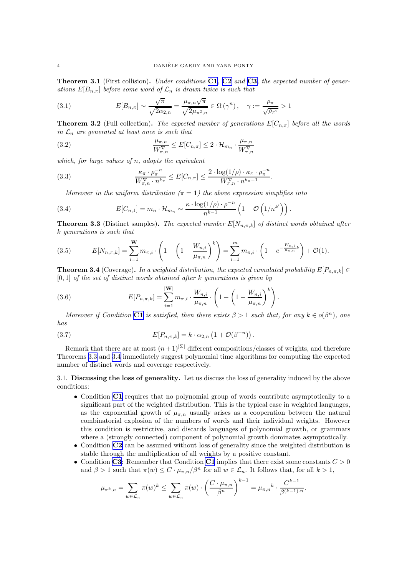<span id="page-4-0"></span>**Theorem 3.1** (First collision). Under conditions  $C1$ ,  $C2$  and  $C3$ , the expected number of generations  $E[B_{n,\pi}]$  before some word of  $\mathcal{L}_n$  is drawn twice is such that

(3.1) 
$$
E[B_{n,\pi}] \sim \frac{\sqrt{\pi}}{\sqrt{2\alpha_{2,n}}} = \frac{\mu_{\pi,n}\sqrt{\pi}}{\sqrt{2\mu_{\pi^2,n}}} \in \Omega(\gamma^n), \quad \gamma := \frac{\rho_{\pi}}{\sqrt{\rho_{\pi^2}}} > 1
$$

**Theorem 3.2** (Full collection). The expected number of generations  $E[C_{n,\pi}]$  before all the words in  $\mathcal{L}_n$  are generated at least once is such that

(3.2) 
$$
\frac{\mu_{\pi,n}}{W^{\nabla}_{\pi,n}} \leq E[C_{n,\pi}] \leq 2 \cdot \mathcal{H}_{m_n} \cdot \frac{\mu_{\pi,n}}{W^{\nabla}_{\pi,n}}
$$

which, for large values of  $n$ , adopts the equivalent

(3.3) 
$$
\frac{\kappa_{\pi} \cdot \rho_{\pi}^{-n}}{W_{\pi,n}^{\nabla} \cdot n^{k_{\pi}}} \leq E[C_{n,\pi}] \leq \frac{2 \cdot \log(1/\rho) \cdot \kappa_{\pi} \cdot \rho_{\pi}^{-n}}{W_{\pi,n}^{\nabla} \cdot n^{k_{\pi}-1}}.
$$

Moreover in the uniform distribution  $(\pi = 1)$  the above expression simplifies into

(3.4) 
$$
E[C_{n,1}] = m_n \cdot \mathcal{H}_{m_n} \sim \frac{\kappa \cdot \log(1/\rho) \cdot \rho^{-n}}{n^{k-1}} \left(1 + \mathcal{O}\left(1/n^{k'}\right)\right).
$$

**Theorem 3.3** (Distinct samples). The expected number  $E[N_{n,\pi,k}]$  of distinct words obtained after k generations is such that

(3.5) 
$$
E[N_{n,\pi,k}] = \sum_{i=1}^{|W|} m_{\pi,i} \cdot \left(1 - \left(1 - \frac{W_{n,i}}{\mu_{\pi,n}}\right)^k\right) = \sum_{i=1}^m m_{\pi,i} \cdot \left(1 - e^{-\frac{W_{n,i}}{\mu_{\pi,n}}k}\right) + \mathcal{O}(1).
$$

**Theorem 3.4** (Coverage). In a weighted distribution, the expected cumulated probability  $E[P_{n,\pi,k}] \in$  $[0, 1]$  of the set of distinct words obtained after k generations is given by

(3.6) 
$$
E[P_{n,\pi,k}] = \sum_{i=1}^{|W|} m_{\pi,i} \cdot \frac{W_{n,i}}{\mu_{\pi,n}} \cdot \left(1 - \left(1 - \frac{W_{n,i}}{\mu_{\pi,n}}\right)^k\right)
$$

Moreover if Condition [C1](#page-3-0) is satisfied, then there exists  $\beta > 1$  such that, for any  $k \in o(\beta^n)$ , one has

.

(3.7) 
$$
E[P_{n,\pi,k}] = k \cdot \alpha_{2,n} \left(1 + \mathcal{O}(\beta^{-n})\right).
$$

Remark that there are at most  $(n+1)^{|\Sigma|}$  different compositions/classes of weights, and therefore Theorems 3.3 and 3.4 immediately suggest polynomial time algorithms for computing the expected number of distinct words and coverage respectively.

### 3.1. Discussing the loss of generality. Let us discuss the loss of generality induced by the above conditions:

- Condition [C1](#page-3-0) requires that no polynomial group of words contribute asymptotically to a significant part of the weighted distribution. This is the typical case in weighted languages, as the exponential growth of  $\mu_{\pi,n}$  usually arises as a cooperation between the natural combinatorial explosion of the numbers of words and their individual weights. However this condition is restrictive, and discards languages of polynomial growth, or grammars where a (strongly connected) component of polynomial growth dominates asymptotically.
- Condition [C2](#page-3-0) can be assumed without loss of generality since the weighted distribution is stable through the multiplication of all weights by a positive constant.
- Condition [C3](#page-3-0): Remember that Condition [C1](#page-3-0) implies that there exist some constants  $C > 0$ and  $\beta > 1$  such that  $\pi(w) \leq C \cdot \mu_{\pi,n}/\beta^n$  for all  $w \in \mathcal{L}_n$ . It follows that, for all  $k > 1$ ,

$$
\mu_{\pi^k,n} = \sum_{w \in \mathcal{L}_n} \pi(w)^k \le \sum_{w \in \mathcal{L}_n} \pi(w) \cdot \left(\frac{C \cdot \mu_{\pi,n}}{\beta^n}\right)^{k-1} = \mu_{\pi,n}^k \cdot \frac{C^{k-1}}{\beta^{(k-1)}\cdot n}.
$$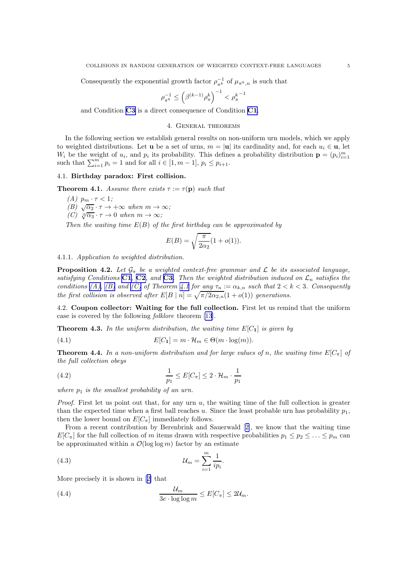<span id="page-5-0"></span>Consequently the exponential growth factor  $\rho_{\pi^k}^{-1}$  of  $\mu_{\pi^k,n}$  is such that

$$
\rho_{\pi^k}^{-1}\leq \left(\beta^{(k-1)}\rho_\pi^k\right)^{-1}<\rho_\pi^{k-1}
$$

and Condition [C3](#page-3-0) is a direct consequence of Condition [C1](#page-3-0).

#### 4. General theorems

In the following section we establish general results on non-uniform urn models, which we apply to weighted distributions. Let **u** be a set of urns,  $m = |\mathbf{u}|$  its cardinality and, for each  $u_i \in \mathbf{u}$ , let  $W_i$  be the weight of  $u_i$ , and  $p_i$  its probability. This defines a probability distribution  $\mathbf{p} = (p_i)_{i=1}^m$ such that  $\sum_{i=1}^{m} p_i = 1$  and for all  $i \in [1, m - 1], p_i \le p_{i+1}$ .

#### 4.1. Birthday paradox: First collision.

**Theorem 4.1.** Assume there exists  $\tau := \tau(\mathbf{p})$  such that

(A)  $p_m \cdot \tau < 1$ ;  $(B)$   $\sqrt{\alpha_2} \cdot \tau \to +\infty$  when  $m \to \infty$ ; (C)  $\sqrt[3]{\alpha_3} \cdot \tau \to 0$  when  $m \to \infty$ ;

Then the waiting time  $E(B)$  of the first birthday can be approximated by

$$
E(B) = \sqrt{\frac{\pi}{2\alpha_2}}(1 + o(1)).
$$

4.1.1. Application to weighted distribution.

**Proposition 4.2.** Let  $\mathcal{G}_{\pi}$  be a weighted context-free grammar and  $\mathcal{L}$  be its associated language, satisfying Conditions [C1](#page-3-0), [C2](#page-3-0), and [C3](#page-3-0). Then the weighted distribution induced on  $\mathcal{L}_n$  satisfies the conditions (A), (B) and (C) of Theorem 4.1 for any  $\tau_n := \alpha_{k,n}$  such that  $2 < k < 3$ . Consequently the first collision is observed after  $E[B | n] = \sqrt{\pi/2\alpha_{2,n}}(1 + o(1))$  generations.

4.2. Coupon collector: Waiting for the full collection. First let us remind that the uniform case is covered by the following folklore theorem [\[13](#page-11-0)].

**Theorem 4.3.** In the uniform distribution, the waiting time  $E[C_1]$  is given by

(4.1) 
$$
E[C_1] = m \cdot \mathcal{H}_m \in \Theta(m \cdot \log(m)).
$$

**Theorem 4.4.** In a non-uniform distribution and for large values of n, the waiting time  $E[C_\pi]$  of the full collection obeys

(4.2) 
$$
\frac{1}{p_1} \leq E[C_\pi] \leq 2 \cdot \mathcal{H}_m \cdot \frac{1}{p_1}
$$

where  $p_1$  is the smallest probability of an urn.

*Proof.* First let us point out that, for any urn  $u$ , the waiting time of the full collection is greater than the expected time when a first ball reaches u. Since the least probable urn has probability  $p_1$ , then the lower bound on  $E[C_\pi]$  immediately follows.

From a recent contribution by Berenbrink and Sauerwald[[2\]](#page-10-0), we know that the waiting time  $E[C_\pi]$  for the full collection of m items drawn with respective probabilities  $p_1 \leq p_2 \leq \ldots \leq p_m$  can be approximated within a  $\mathcal{O}(\log \log m)$  factor by an estimate

(4.3) 
$$
u_m = \sum_{i=1}^m \frac{1}{ip_i}.
$$

More precisely it is shown in[[2\]](#page-10-0) that

(4.4) 
$$
\frac{\mathcal{U}_m}{3e \cdot \log \log m} \leq E[C_\pi] \leq 2\mathcal{U}_m.
$$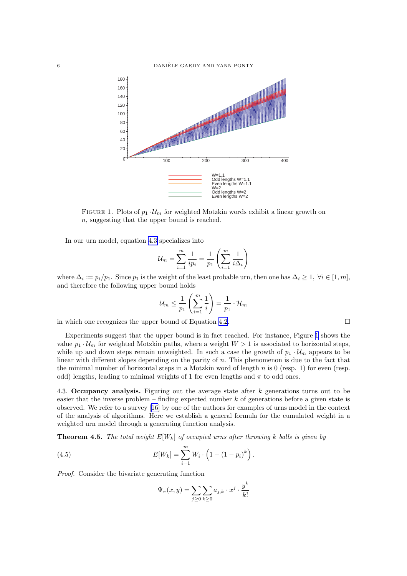<span id="page-6-0"></span>

FIGURE 1. Plots of  $p_1 \cdot U_m$  for weighted Motzkin words exhibit a linear growth on n, suggesting that the upper bound is reached.

In our urn model, equation [4.3](#page-5-0) specializes into

$$
\mathcal{U}_m = \sum_{i=1}^m \frac{1}{ip_i} = \frac{1}{p_1} \left( \sum_{i=1}^m \frac{1}{i \Delta_i} \right)
$$

where  $\Delta_i := p_i/p_1$ . Since  $p_1$  is the weight of the least probable urn, then one has  $\Delta_i \geq 1$ ,  $\forall i \in [1, m]$ , and therefore the following upper bound holds

$$
\mathcal{U}_m \leq \frac{1}{p_1} \left( \sum_{i=1}^m \frac{1}{i} \right) = \frac{1}{p_1} \cdot \mathcal{H}_m
$$

in which one recognizes the upper bound of Equation [4.2.](#page-5-0)

Experiments suggest that the upper bound is in fact reached. For instance, Figure 1 shows the value  $p_1 \cdot U_m$  for weighted Motzkin paths, where a weight  $W > 1$  is associated to horizontal steps, while up and down steps remain unweighted. In such a case the growth of  $p_1 \cdot U_m$  appears to be linear with different slopes depending on the parity of n. This phenomenon is due to the fact that the minimal number of horizontal steps in a Motzkin word of length  $n$  is 0 (resp. 1) for even (resp. odd) lengths, leading to minimal weights of 1 for even lengths and  $\pi$  to odd ones.

4.3. Occupancy analysis. Figuring out the average state after k generations turns out to be easier that the inverse problem – finding expected number  $k$  of generations before a given state is observed. We refer to a survey [\[16](#page-11-0)] by one of the authors for examples of urns model in the context of the analysis of algorithms. Here we establish a general formula for the cumulated weight in a weighted urn model through a generating function analysis.

**Theorem 4.5.** The total weight  $E[W_k]$  of occupied urns after throwing k balls is given by

(4.5) 
$$
E[W_k] = \sum_{i=1}^{m} W_i \cdot \left(1 - (1 - p_i)^k\right).
$$

Proof. Consider the bivariate generating function

$$
\Psi_{\pi}(x,y) = \sum_{j\geq 0} \sum_{k\geq 0} a_{j,k} \cdot x^j \cdot \frac{y^k}{k!}
$$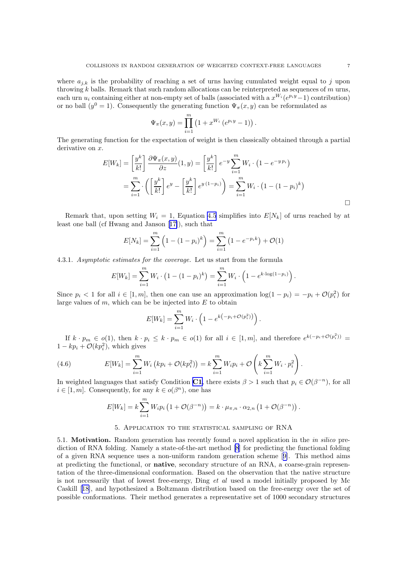<span id="page-7-0"></span>where  $a_{i,k}$  is the probability of reaching a set of urns having cumulated weight equal to j upon throwing k balls. Remark that such random allocations can be reinterpreted as sequences of  $m$  urns, each urn  $u_i$  containing either at non-empty set of balls (associated with a  $x^{W_i}(e^{p_i y}-1)$  contribution) or no ball  $(y^0 = 1)$ . Consequently the generating function  $\Psi_\pi(x, y)$  can be reformulated as

$$
\Psi_{\pi}(x,y) = \prod_{i=1}^{m} (1 + x^{W_i} (e^{p_i y} - 1)).
$$

The generating function for the expectation of weight is then classically obtained through a partial  $derivative on x.$ 

$$
E[W_k] = \left[\frac{y^k}{k!}\right] \frac{\partial \Psi_\pi(x, y)}{\partial z} (1, y) = \left[\frac{y^k}{k!}\right] e^{-y} \sum_{i=1}^m W_i \cdot (1 - e^{-y p_i})
$$
  

$$
= \sum_{i=1}^m \cdot \left(\left[\frac{y^k}{k!}\right] e^y - \left[\frac{y^k}{k!}\right] e^{y(1-p_i)}\right) = \sum_{i=1}^m W_i \cdot (1 - (1-p_i)^k)
$$

Remark that, upon setting  $W_i = 1$ , Equation [4.5](#page-6-0) simplifies into  $E[N_k]$  of urns reached by at least one ball (cf Hwang and Janson[[17\]](#page-11-0)), such that

$$
E[N_k] = \sum_{i=1}^{m} \left( 1 - (1 - p_i)^k \right) = \sum_{i=1}^{m} \left( 1 - e^{-p_i k} \right) + \mathcal{O}(1)
$$

4.3.1. Asymptotic estimates for the coverage. Let us start from the formula

$$
E[W_k] = \sum_{i=1}^{m} W_i \cdot (1 - (1 - p_i)^k) = \sum_{i=1}^{m} W_i \cdot (1 - e^{k \cdot \log(1 - p_i)})
$$

Since  $p_i < 1$  for all  $i \in [1, m]$ , then one can use an approximation  $log(1 - p_i) = -p_i + \mathcal{O}(p_i^2)$  for large values of  $m$ , which can be be injected into  $E$  to obtain

$$
E[W_k] = \sum_{i=1}^m W_i \cdot \left(1 - e^{k(-p_i + \mathcal{O}(p_i^2))}\right).
$$

If  $k \cdot p_m \in o(1)$ , then  $k \cdot p_i \leq k \cdot p_m \in o(1)$  for all  $i \in [1, m]$ , and therefore  $e^{k(-p_i + \mathcal{O}(p_i^2))}$  $1 - kp_i + \mathcal{O}(kp_i^2)$ , which gives

(4.6) 
$$
E[W_k] = \sum_{i=1}^m W_i \left( k p_i + \mathcal{O}(k p_i^2) \right) = k \sum_{i=1}^m W_i p_i + \mathcal{O}\left(k \sum_{i=1}^m W_i \cdot p_i^2\right).
$$

In weighted languages that satisfy Condition [C1](#page-3-0), there exists  $\beta > 1$  such that  $p_i \in \mathcal{O}(\beta^{-n})$ , for all  $i \in [1, m]$ . Consequently, for any  $k \in o(\beta^n)$ , one has

$$
E[W_k] = k \sum_{i=1}^m W_i p_i \left( 1 + \mathcal{O}(\beta^{-n}) \right) = k \cdot \mu_{\pi,n} \cdot \alpha_{2,n} \left( 1 + \mathcal{O}(\beta^{-n}) \right).
$$

#### 5. Application to the statistical sampling of RNA

5.1. Motivation. Random generation has recently found a novel application in the in silico prediction of RNA folding. Namely a state-of-the-art method [\[8](#page-11-0)] for predicting the functional folding of a given RNA sequence uses a non-uniform random generation scheme[[9\]](#page-11-0). This method aims at predicting the functional, or native, secondary structure of an RNA, a coarse-grain representation of the three-dimensional conformation. Based on the observation that the native structure is not necessarily that of lowest free-energy, Ding et al used a model initially proposed by Mc Caskill[[18\]](#page-11-0), and hypothesized a Boltzmann distribution based on the free-energy over the set of possible conformations. Their method generates a representative set of 1000 secondary structures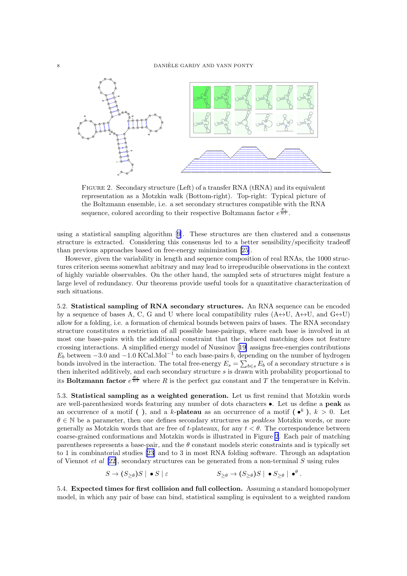

Figure 2. Secondary structure (Left) of a transfer RNA (tRNA) and its equivalent representation as a Motzkin walk (Bottom-right). Top-right: Typical picture of the Boltzmann ensemble, i.e. a set secondary structures compatible with the RNA sequence, colored according to their respective Boltzmann factor  $e^{\frac{E_s}{RT}}$ .

using a statistical sampling algorithm [\[9](#page-11-0)]. These structures are then clustered and a consensus structure is extracted. Considering this consensus led to a better sensibility/specificity tradeoff than previous approaches based on free-energy minimization [\[25](#page-11-0)].

However, given the variability in length and sequence composition of real RNAs, the 1000 structures criterion seems somewhat arbitrary and may lead to irreproducible observations in the context of highly variable observables. On the other hand, the sampled sets of structures might feature a large level of redundancy. Our theorems provide useful tools for a quantitative characterization of such situations.

5.2. Statistical sampling of RNA secondary structures. An RNA sequence can be encoded by a sequence of bases A, C, G and U where local compatibility rules  $(A \leftrightarrow U, A \leftrightarrow U)$ , and  $G \leftrightarrow U$ allow for a folding, i.e. a formation of chemical bounds between pairs of bases. The RNA secondary structure constitutes a restriction of all possible base-pairings, where each base is involved in at most one base-pairs with the additional constraint that the induced matching does not feature crossing interactions. A simplified energy model of Nussinov[[19\]](#page-11-0) assigns free-energies contributions  $E_b$  between  $-3.0$  and  $-1.0$  KCal.Mol<sup>-1</sup> to each base-pairs b, depending on the number of hydrogen bonds involved in the interaction. The total free-energy  $E_s = \sum_{b \in s} E_b$  of a secondary structure s is then inherited additively, and each secondary structure  $s$  is drawn with probability proportional to its **Boltzmann factor**  $e^{\frac{E_s}{RT}}$  where R is the perfect gaz constant and T the temperature in Kelvin.

5.3. Statistical sampling as a weighted generation. Let us first remind that Motzkin words are well-parenthesized words featuring any number of dots characters •. Let us define a peak as an occurrence of a motif (), and a k-**plateau** as an occurrence of a motif  $(\bullet^k)$ ,  $k > 0$ . Let  $\theta \in \mathbb{N}$  be a parameter, then one defines secondary structures as *peakless* Motzkin words, or more generally as Motzkin words that are free of t-plateaux, for any  $t < \theta$ . The correspondence between coarse-grained conformations and Motzkin words is illustrated in Figure 2. Each pair of matching parentheses represents a base-pair, and the  $\theta$  constant models steric constraints and is typically set to 1 in combinatorial studies [\[23\]](#page-11-0) and to 3 in most RNA folding software. Through an adaptation of Viennot et al  $[22]$  $[22]$ , secondary structures can be generated from a non-terminal S using rules

$$
S \to (S_{\geq \theta})S \mid \bullet S \mid \varepsilon \qquad \qquad S_{\geq \theta} \to (S_{\geq \theta})S \mid \bullet S_{\geq \theta} \mid \bullet^{\theta}.
$$

5.4. Expected times for first collision and full collection. Assuming a standard homopolymer model, in which any pair of base can bind, statistical sampling is equivalent to a weighted random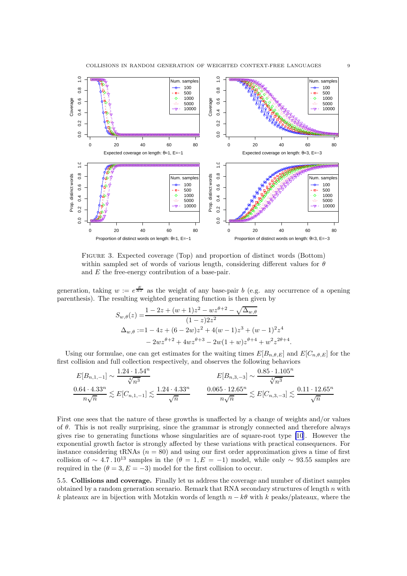<span id="page-9-0"></span>

Figure 3. Expected coverage (Top) and proportion of distinct words (Bottom) within sampled set of words of various length, considering different values for  $\theta$ and E the free-energy contribution of a base-pair.

generation, taking  $w := e^{\frac{E}{RT}}$  as the weight of any base-pair b (e.g. any occurrence of a opening parenthesis). The resulting weighted generating function is then given by

$$
S_{w,\theta}(z) = \frac{1 - 2z + (w+1)z^2 - wz^{\theta+2} - \sqrt{\Delta_{w,\theta}}}{(1-z)2z^2}
$$
  

$$
\Delta_{w,\theta} := 1 - 4z + (6 - 2w)z^2 + 4(w-1)z^3 + (w-1)^2z^4
$$
  

$$
-2wz^{\theta+2} + 4wz^{\theta+3} - 2w(1+w)z^{\theta+4} + w^2z^{2\theta+4}.
$$

Using our formulae, one can get estimates for the waiting times  $E[B_{n,\theta,E}]$  and  $E[C_{n,\theta,E}]$  for the first collision and full collection respectively, and observes the following behaviors

$$
E[B_{n,1,-1}] \sim \frac{1.24 \cdot 1.54^n}{\sqrt[4]{n^3}} \qquad E[B_{n,3,-3}] \sim \frac{0.85 \cdot 1.105^n}{\sqrt[4]{n^3}}
$$

$$
\frac{0.64 \cdot 4.33^n}{n\sqrt{n}} \lesssim E[C_{n,1,-1}] \lesssim \frac{1.24 \cdot 4.33^n}{\sqrt{n}} \qquad \frac{0.065 \cdot 12.65^n}{n\sqrt{n}} \lesssim E[C_{n,3,-3}] \lesssim \frac{0.11 \cdot 12.65^n}{\sqrt{n}}
$$

First one sees that the nature of these growths is unaffected by a change of weights and/or values of  $\theta$ . This is not really surprising, since the grammar is strongly connected and therefore always gives rise to generating functions whose singularities are of square-root type [\[10](#page-11-0)]. However the exponential growth factor is strongly affected by these variations with practical consequences. For instance considering tRNAs  $(n = 80)$  and using our first order approximation gives a time of first collision of ~ 4.7.10<sup>13</sup> samples in the  $(\theta = 1, E = -1)$  model, while only ~ 93.55 samples are required in the  $(\theta = 3, E = -3)$  model for the first collision to occur.

5.5. Collisions and coverage. Finally let us address the coverage and number of distinct samples obtained by a random generation scenario. Remark that RNA secondary structures of length  $n$  with k plateaux are in bijection with Motzkin words of length  $n - k\theta$  with k peaks/plateaux, where the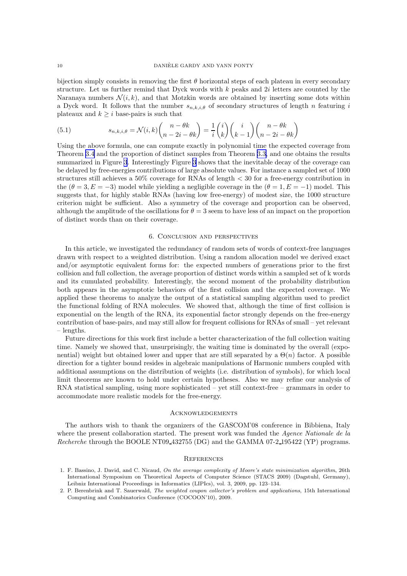<span id="page-10-0"></span>bijection simply consists in removing the first  $\theta$  horizontal steps of each plateau in every secondary structure. Let us further remind that Dyck words with  $k$  peaks and  $2i$  letters are counted by the Naranaya numbers  $\mathcal{N}(i,k)$ , and that Motzkin words are obtained by inserting some dots within a Dyck word. It follows that the number  $s_{n,k,i,\theta}$  of secondary structures of length n featuring i plateaux and  $k \geq i$  base-pairs is such that

(5.1) 
$$
s_{n,k,i,\theta} = \mathcal{N}(i,k) \binom{n-\theta k}{n-2i-\theta k} = \frac{1}{i} \binom{i}{k} \binom{i}{k-1} \binom{n-\theta k}{n-2i-\theta k}
$$

Using the above formula, one can compute exactly in polynomial time the expected coverage from Theorem [3.4](#page-4-0) and the proportion of distinct samples from Theorem [3.3,](#page-4-0) and one obtains the results summarized in Figure [3](#page-9-0). Interestingly Figure [3](#page-9-0) shows that the inevitable decay of the coverage can be delayed by free-energies contributions of large absolute values. For instance a sampled set of 1000 structures still achieves a 50% coverage for RNAs of length < 30 for a free-energy contribution in the  $(\theta = 3, E = -3)$  model while yielding a negligible coverage in the  $(\theta = 1, E = -1)$  model. This suggests that, for highly stable RNAs (having low free-energy) of modest size, the 1000 structure criterion might be sufficient. Also a symmetry of the coverage and proportion can be observed, although the amplitude of the oscillations for  $\theta = 3$  seem to have less of an impact on the proportion of distinct words than on their coverage.

### 6. Conclusion and perspectives

In this article, we investigated the redundancy of random sets of words of context-free languages drawn with respect to a weighted distribution. Using a random allocation model we derived exact and/or asymptotic equivalent forms for: the expected numbers of generations prior to the first collision and full collection, the average proportion of distinct words within a sampled set of k words and its cumulated probability. Interestingly, the second moment of the probability distribution both appears in the asymptotic behaviors of the first collision and the expected coverage. We applied these theorems to analyze the output of a statistical sampling algorithm used to predict the functional folding of RNA molecules. We showed that, although the time of first collision is exponential on the length of the RNA, its exponential factor strongly depends on the free-energy contribution of base-pairs, and may still allow for frequent collisions for RNAs of small – yet relevant – lengths.

Future directions for this work first include a better characterization of the full collection waiting time. Namely we showed that, unsurprisingly, the waiting time is dominated by the overall (exponential) weight but obtained lower and upper that are still separated by a  $\Theta(n)$  factor. A possible direction for a tighter bound resides in algebraic manipulations of Harmonic numbers coupled with additional assumptions on the distribution of weights (i.e. distribution of symbols), for which local limit theorems are known to hold under certain hypotheses. Also we may refine our analysis of RNA statistical sampling, using more sophisticated – yet still context-free – grammars in order to accommodate more realistic models for the free-energy.

#### **ACKNOWLEDGEMENTS**

The authors wish to thank the organizers of the GASCOM'08 conference in Bibbiena, Italy where the present collaboration started. The present work was funded the Agence Nationale de la Recherche through the BOOLE NT09 432755 (DG) and the GAMMA 07-2 195422 (YP) programs.

#### **REFERENCES**

<sup>1.</sup> F. Bassino, J. David, and C. Nicaud, *On the average complexity of Moore's state minimization algorithm*, 26th International Symposium on Theoretical Aspects of Computer Science (STACS 2009) (Dagstuhl, Germany), Leibniz International Proceedings in Informatics (LIPIcs), vol. 3, 2009, pp. 123–134.

<sup>2.</sup> P. Berenbrink and T. Sauerwald, *The weighted coupon collector's problem and applications*, 15th International Computing and Combinatorics Conference (COCOON'10), 2009.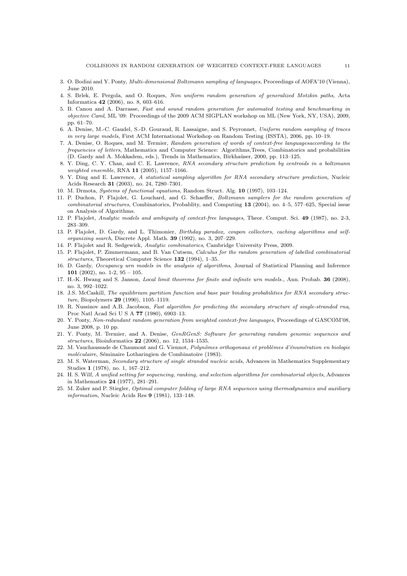- <span id="page-11-0"></span>3. O. Bodini and Y. Ponty, *Multi-dimensional Boltzmann sampling of languages*, Proceedings of AOFA'10 (Vienna), June 2010.
- 4. S. Brlek, E. Pergola, and O. Roques, *Non uniform random generation of generalized Motzkin paths*, Acta Informatica 42 (2006), no. 8, 603–616.
- 5. B. Canou and A. Darrasse, *Fast and sound random generation for automated testing and benchmarking in objective Caml*, ML '09: Proceedings of the 2009 ACM SIGPLAN workshop on ML (New York, NY, USA), 2009, pp. 61–70.
- 6. A. Denise, M.-C. Gaudel, S.-D. Gouraud, R. Lassaigne, and S. Peyronnet, *Uniform random sampling of traces in very large models*, First ACM International Workshop on Random Testing (ISSTA), 2006, pp. 10–19.
- 7. A. Denise, O. Roques, and M. Termier, *Random generation of words of context-free languagesaccording to the frequencies of letters*, Mathematics and Computer Science: Algorithms,Trees, Combinatorics and probabilities (D. Gardy and A. Mokkadem, eds.), Trends in Mathematics, Birkha¨user, 2000, pp. 113–125.
- 8. Y. Ding, C. Y. Chan, and C. E. Lawrence, *RNA secondary structure prediction by centroids in a boltzmann weighted ensemble*, RNA 11 (2005), 1157–1166.
- 9. Y. Ding and E. Lawrence, *A statistical sampling algorithm for RNA secondary structure prediction*, Nucleic Acids Research 31 (2003), no. 24, 7280–7301.
- 10. M. Drmota, *Systems of functional equations*, Random Struct. Alg. 10 (1997), 103–124.
- 11. P. Duchon, P. Flajolet, G. Louchard, and G. Schaeffer, *Boltzmann samplers for the random generation of combinatorial structures*, Combinatorics, Probablity, and Computing 13 (2004), no. 4–5, 577–625, Special issue on Analysis of Algorithms.
- 12. P. Flajolet, *Analytic models and ambiguity of context-free languages*, Theor. Comput. Sci. 49 (1987), no. 2-3, 283–309.
- 13. P. Flajolet, D. Gardy, and L. Thimonier, *Birthday paradox, coupon collectors, caching algorithms and selforganizing search*, Discrete Appl. Math. 39 (1992), no. 3, 207–229.
- 14. P. Flajolet and R. Sedgewick, *Analytic combinatorics*, Cambridge University Press, 2009.
- 15. P. Flajolet, P. Zimmermann, and B. Van Cutsem, *Calculus for the random generation of labelled combinatorial structures*, Theoretical Computer Science 132 (1994), 1–35.
- 16. D. Gardy, *Occupancy urn models in the analysis of algorithms*, Journal of Statistical Planning and Inference 101 (2002), no. 1-2,  $95 - 105$ .
- 17. H.-K. Hwang and S. Janson, *Local limit theorems for finite and infinite urn models.*, Ann. Probab. 36 (2008), no. 3, 992–1022.
- 18. J.S. McCaskill, *The equilibrium partition function and base pair binding probabilities for RNA secondary structure*, Biopolymers 29 (1990), 1105–1119.
- 19. R. Nussinov and A.B. Jacobson, *Fast algorithm for predicting the secondary structure of single-stranded rna*, Proc Natl Acad Sci U S A 77 (1980), 6903–13.
- 20. Y. Ponty, *Non-redundant random generation from weighted context-free languages*, Proceedings of GASCOM'08, June 2008, p. 10 pp.
- 21. Y. Ponty, M. Termier, and A. Denise, *GenRGenS: Software for generating random genomic sequences and structures*, Bioinformatics 22 (2006), no. 12, 1534–1535.
- 22. M. Vauchaussade de Chaumont and G. Viennot, *Polynômes orthogonaux et problèmes d'énumération en biologie*  $moléculaire$ , Séminaire Lotharingien de Combinatoire (1983).
- 23. M. S. Waterman, *Secondary structure of single stranded nucleic acids*, Advances in Mathematics Supplementary Studies 1 (1978), no. 1, 167–212.
- 24. H. S. Wilf, *A unified setting for sequencing, ranking, and selection algorithms for combinatorial objects*, Advances in Mathematics 24 (1977), 281–291.
- 25. M. Zuker and P. Stiegler, *Optimal computer folding of large RNA sequences using thermodynamics and auxiliary information*, Nucleic Acids Res 9 (1981), 133–148.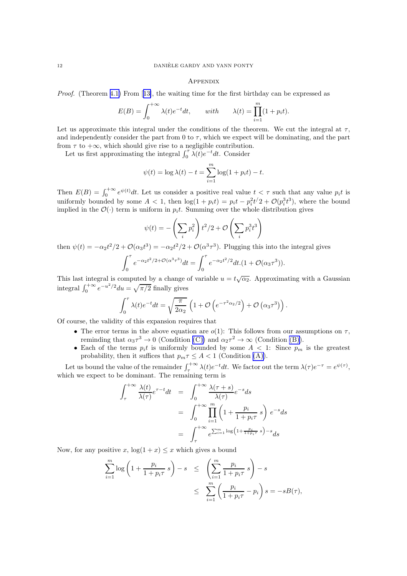#### **APPENDIX**

Proof. (Theorem [4.1\)](#page-5-0) From[[13\]](#page-11-0), the waiting time for the first birthday can be expressed as

$$
E(B) = \int_0^{+\infty} \lambda(t)e^{-t}dt, \quad \text{with} \quad \lambda(t) = \prod_{i=1}^m (1 + p_i t).
$$

Let us approximate this integral under the conditions of the theorem. We cut the integral at  $\tau$ , and independently consider the part from 0 to  $\tau$ , which we expect will be dominating, and the part from  $\tau$  to  $+\infty$ , which should give rise to a negligible contribution.

Let us first approximating the integral  $\int_0^{\tau} \lambda(t) e^{-t} dt$ . Consider

$$
\psi(t) = \log \lambda(t) - t = \sum_{i=1}^{m} \log(1 + p_i t) - t.
$$

Then  $E(B) = \int_0^{+\infty} e^{\psi(t)} dt$ . Let us consider a positive real value  $t < \tau$  such that any value  $p_i t$  is uniformly bounded by some  $A < 1$ , then  $\log(1 + p_i t) = p_i t - p_i^2 t^2 + \mathcal{O}(p_i^3 t^3)$ , where the bound implied in the  $\mathcal{O}(\cdot)$  term is uniform in  $p_it$ . Summing over the whole distribution gives

$$
\psi(t) = -\left(\sum_i p_i^2\right) t^2/2 + \mathcal{O}\left(\sum_i p_i^3 t^3\right)
$$

then  $\psi(t) = -\alpha_2 t^2/2 + \mathcal{O}(\alpha_3 t^3) = -\alpha_2 t^2/2 + \mathcal{O}(\alpha^3 \tau^3)$ . Plugging this into the integral gives

$$
\int_0^{\tau} e^{-\alpha_2 t^2/2 + \mathcal{O}(\alpha^3 \tau^3)} dt = \int_0^{\tau} e^{-\alpha_2 t^2/2} dt (1 + \mathcal{O}(\alpha_3 \tau^3)).
$$

This last integral is computed by a change of variable  $u = t\sqrt{\alpha_2}$ . Approximating with a Gaussian integral  $\int_0^{+\infty} e^{-u^2/2} du = \sqrt{\pi/2}$  finally gives

$$
\int_0^\tau \lambda(t)e^{-t}dt = \sqrt{\frac{\pi}{2\alpha_2}} \left(1 + \mathcal{O}\left(e^{-\tau^2\alpha_2/2}\right) + \mathcal{O}\left(\alpha_3\tau^3\right)\right).
$$

Of course, the validity of this expansion requires that

- The error terms in the above equation are  $o(1)$ : This follows from our assumptions on  $\tau$ , reminding that  $\alpha_3 \tau^3 \to 0$  (Condition [\(C\)\)](#page-5-0) and  $\alpha_2 \tau^2 \to \infty$  (Condition [\(B\)\)](#page-5-0).
- Each of the terms  $p_i t$  is uniformly bounded by some  $A < 1$ : Since  $p_m$  is the greatest probability, then it suffices that  $p_m \tau \leq A < 1$  (Condition [\(A\)\)](#page-5-0).

Let us bound the value of the remainder  $\int_{\tau}^{+\infty} \lambda(t) e^{-t} dt$ . We factor out the term  $\lambda(\tau) e^{-\tau} = e^{\psi(\tau)}$ , which we expect to be dominant. The remaining term is

$$
\int_{\tau}^{+\infty} \frac{\lambda(t)}{\lambda(\tau)} e^{\tau - t} dt = \int_{0}^{+\infty} \frac{\lambda(\tau + s)}{\lambda(\tau)} e^{-s} ds
$$

$$
= \int_{0}^{+\infty} \prod_{i=1}^{m} \left(1 + \frac{p_i}{1 + p_i \tau} s\right) e^{-s} ds
$$

$$
= \int_{\tau}^{+\infty} e^{\sum_{i=1}^{m} \log\left(1 + \frac{p_i}{1 + p_i \tau} s\right) - s} ds
$$

Now, for any positive x,  $log(1 + x) \leq x$  which gives a bound

$$
\sum_{i=1}^{m} \log \left( 1 + \frac{p_i}{1 + p_i \tau} s \right) - s \le \left( \sum_{i=1}^{m} \frac{p_i}{1 + p_i \tau} s \right) - s
$$
  

$$
\le \sum_{i=1}^{m} \left( \frac{p_i}{1 + p_i \tau} - p_i \right) s = -sB(\tau),
$$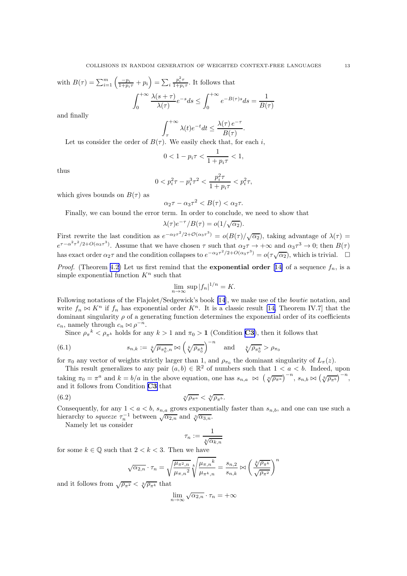with 
$$
B(\tau) = \sum_{i=1}^{m} \left( \frac{-p_i}{1+p_i \tau} + p_i \right) = \sum_{i} \frac{p_i^2 \tau}{1+p_i \tau}
$$
. It follows that  

$$
\int_0^{+\infty} \frac{\lambda(s+\tau)}{\lambda(\tau)} e^{-s} ds \le \int_0^{+\infty} e^{-B(\tau)s} ds =
$$

and finally

$$
\int_{\tau}^{+\infty} \lambda(t)e^{-t}dt \leq \frac{\lambda(\tau)e^{-\tau}}{B(\tau)}.
$$

1  $B(\tau)$ 

Let us consider the order of  $B(\tau)$ . We easily check that, for each i,

$$
0 < 1 - p_i \tau < \frac{1}{1 + p_i \tau} < 1,
$$

thus

$$
0 < p_i^2 \tau - p_i^3 \tau^2 < \frac{p_i^2 \tau}{1 + p_i \tau} < p_i^2 \tau,
$$

which gives bounds on  $B(\tau)$  as

$$
\alpha_2 \tau - \alpha_3 \tau^2 < B(\tau) < \alpha_2 \tau.
$$

Finally, we can bound the error term. In order to conclude, we need to show that

$$
\lambda(\tau)e^{-\tau}/B(\tau) = o(1/\sqrt{\alpha_2}).
$$

First rewrite the last condition as  $e^{-\alpha_2 \tau^2/2 + \mathcal{O}(\alpha_3 \tau^3)} = o(B(\tau)/\sqrt{\alpha_2})$ , taking advantage of  $\lambda(\tau)$  $e^{\tau-\alpha^2\tau^2/2+O(\alpha_3\tau^3)}$ . Assume that we have chosen  $\tau$  such that  $\alpha_2\tau \to +\infty$  and  $\alpha_3\tau^3 \to 0$ ; then  $B(\tau)$ has exact order  $\alpha_2 \tau$  and the condition collapses to  $e^{-\alpha_2 \tau^2/2 + O(\alpha_3 \tau^3)} = o(\tau \sqrt{\alpha_2})$ , which is trivial.  $\Box$ 

*Proof.* (Theorem [4.2\)](#page-5-0) Let us first remind that the **exponential order** [[14\]](#page-11-0) of a sequence  $f_n$ , is a simple exponential function  $K<sup>n</sup>$  such that

$$
\lim_{n \to \infty} \sup |f_n|^{1/n} = K.
$$

Following notations of the Flajolet/Sedgewick's book [\[14](#page-11-0)], we make use of the bowtie notation, and write  $f_n \bowtie K^n$  if  $f_n$  has exponential order  $K^n$ . It is a classic result [\[14,](#page-11-0) Theorem IV.7] that the dominant singularity  $\rho$  of a generating function determines the exponential order of its coefficients  $c_n$ , namely through  $c_n \bowtie \rho^{-n}$ .

Since  $\rho_{\pi}^{k} < \rho_{\pi^{k}}$  holds for any  $k > 1$  and  $\pi_{0} > 1$  (Condition [C3](#page-3-0)), then it follows that

(6.1) 
$$
s_{n,k} := \sqrt[k]{\mu_{\pi_0^k, n}} \bowtie \left(\sqrt[k]{\rho_{\pi_0^k}}\right)^{-n} \text{ and } \sqrt[k]{\rho_{\pi_0^k}} > \rho_{\pi_0}
$$

for  $\pi_0$  any vector of weights strictly larger than 1, and  $\rho_{\pi_0}$  the dominant singularity of  $L_\pi(z)$ .

This result generalizes to any pair  $(a, b) \in \mathbb{R}^2$  of numbers such that  $1 < a < b$ . Indeed, upon taking  $\pi_0 = \pi^a$  and  $k = b/a$  in the above equation, one has  $s_{n,a} \bowtie (\sqrt[a]{\rho_{\pi^a}})^{-n}$ ,  $s_{n,b} \bowtie (\sqrt[b]{\rho_{\pi^b}})^{-n}$ , and it follows from Condition [C3](#page-3-0) that

$$
\sqrt[\alpha]{\rho_{\pi^a}} < \sqrt[b]{\rho_{\pi^b}}.
$$

Consequently, for any  $1 < a < b$ ,  $s_{n,a}$  grows exponentially faster than  $s_{n,b}$ , and one can use such a hierarchy to *squeeze*  $\tau_n^{-1}$  between  $\sqrt{\alpha_{2,n}}$  and  $\sqrt[3]{\alpha_{3,n}}$ .

Namely let us consider

$$
\tau_n := \frac{1}{\sqrt[k]{\alpha_{k,n}}}
$$

for some  $k \in \mathbb{Q}$  such that  $2 < k < 3$ . Then we have

$$
\sqrt{\alpha_{2,n}} \cdot \tau_n = \sqrt{\frac{\mu_{\pi^2,n}}{\mu_{\pi,n}^2}} \sqrt[k]{\frac{\mu_{\pi,n} k}{\mu_{\pi^k,n}}} = \frac{s_{n,2}}{s_{n,k}} \bowtie \left(\frac{\sqrt[k]{\rho_{\pi^k}}}{\sqrt{\rho_{\pi^2}}}\right)^n
$$

and it follows from  $\sqrt{\rho_{\pi^2}} < \sqrt[k]{\rho_{\pi^k}}$  that

$$
\lim_{n \to \infty} \sqrt{\alpha_{2,n}} \cdot \tau_n = +\infty
$$